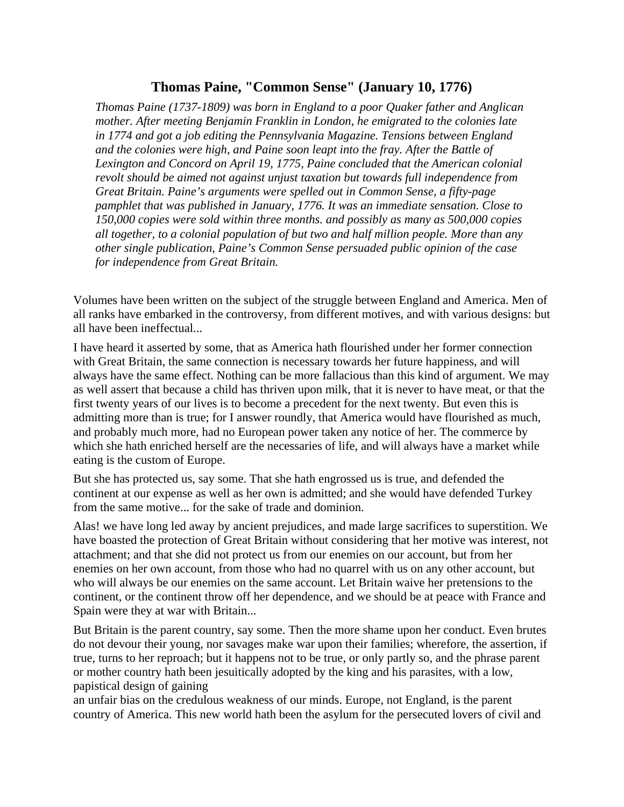## **Thomas Paine, "Common Sense" (January 10, 1776)**

*Thomas Paine (1737-1809) was born in England to a poor Quaker father and Anglican mother. After meeting Benjamin Franklin in London, he emigrated to the colonies late in 1774 and got a job editing the Pennsylvania Magazine. Tensions between England and the colonies were high, and Paine soon leapt into the fray. After the Battle of Lexington and Concord on April 19, 1775, Paine concluded that the American colonial revolt should be aimed not against unjust taxation but towards full independence from Great Britain. Paine's arguments were spelled out in Common Sense, a fifty-page pamphlet that was published in January, 1776. It was an immediate sensation. Close to 150,000 copies were sold within three months. and possibly as many as 500,000 copies all together, to a colonial population of but two and half million people. More than any other single publication, Paine's Common Sense persuaded public opinion of the case for independence from Great Britain.* 

Volumes have been written on the subject of the struggle between England and America. Men of all ranks have embarked in the controversy, from different motives, and with various designs: but all have been ineffectual...

I have heard it asserted by some, that as America hath flourished under her former connection with Great Britain, the same connection is necessary towards her future happiness, and will always have the same effect. Nothing can be more fallacious than this kind of argument. We may as well assert that because a child has thriven upon milk, that it is never to have meat, or that the first twenty years of our lives is to become a precedent for the next twenty. But even this is admitting more than is true; for I answer roundly, that America would have flourished as much, and probably much more, had no European power taken any notice of her. The commerce by which she hath enriched herself are the necessaries of life, and will always have a market while eating is the custom of Europe.

But she has protected us, say some. That she hath engrossed us is true, and defended the continent at our expense as well as her own is admitted; and she would have defended Turkey from the same motive... for the sake of trade and dominion.

Alas! we have long led away by ancient prejudices, and made large sacrifices to superstition. We have boasted the protection of Great Britain without considering that her motive was interest, not attachment; and that she did not protect us from our enemies on our account, but from her enemies on her own account, from those who had no quarrel with us on any other account, but who will always be our enemies on the same account. Let Britain waive her pretensions to the continent, or the continent throw off her dependence, and we should be at peace with France and Spain were they at war with Britain...

But Britain is the parent country, say some. Then the more shame upon her conduct. Even brutes do not devour their young, nor savages make war upon their families; wherefore, the assertion, if true, turns to her reproach; but it happens not to be true, or only partly so, and the phrase parent or mother country hath been jesuitically adopted by the king and his parasites, with a low, papistical design of gaining

an unfair bias on the credulous weakness of our minds. Europe, not England, is the parent country of America. This new world hath been the asylum for the persecuted lovers of civil and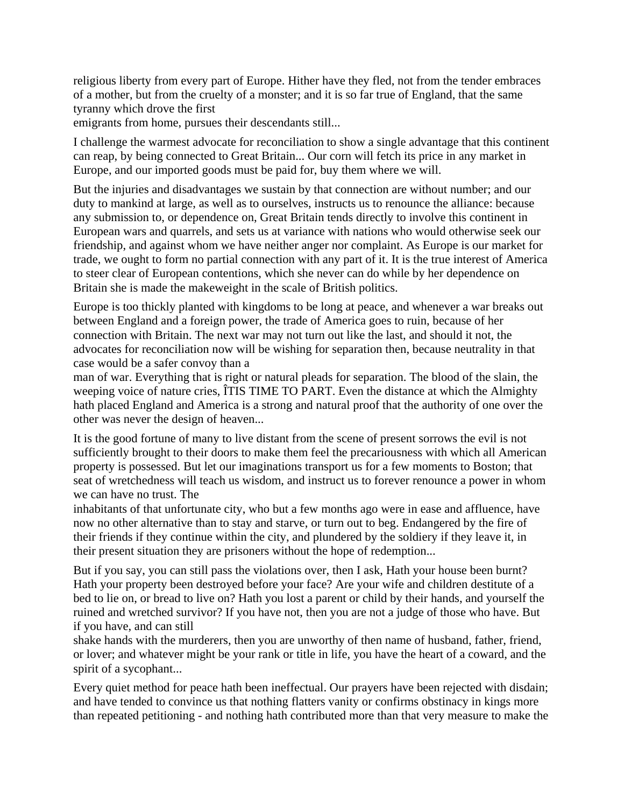religious liberty from every part of Europe. Hither have they fled, not from the tender embraces of a mother, but from the cruelty of a monster; and it is so far true of England, that the same tyranny which drove the first

emigrants from home, pursues their descendants still...

I challenge the warmest advocate for reconciliation to show a single advantage that this continent can reap, by being connected to Great Britain... Our corn will fetch its price in any market in Europe, and our imported goods must be paid for, buy them where we will.

But the injuries and disadvantages we sustain by that connection are without number; and our duty to mankind at large, as well as to ourselves, instructs us to renounce the alliance: because any submission to, or dependence on, Great Britain tends directly to involve this continent in European wars and quarrels, and sets us at variance with nations who would otherwise seek our friendship, and against whom we have neither anger nor complaint. As Europe is our market for trade, we ought to form no partial connection with any part of it. It is the true interest of America to steer clear of European contentions, which she never can do while by her dependence on Britain she is made the makeweight in the scale of British politics.

Europe is too thickly planted with kingdoms to be long at peace, and whenever a war breaks out between England and a foreign power, the trade of America goes to ruin, because of her connection with Britain. The next war may not turn out like the last, and should it not, the advocates for reconciliation now will be wishing for separation then, because neutrality in that case would be a safer convoy than a

man of war. Everything that is right or natural pleads for separation. The blood of the slain, the weeping voice of nature cries, ÎTIS TIME TO PART. Even the distance at which the Almighty hath placed England and America is a strong and natural proof that the authority of one over the other was never the design of heaven...

It is the good fortune of many to live distant from the scene of present sorrows the evil is not sufficiently brought to their doors to make them feel the precariousness with which all American property is possessed. But let our imaginations transport us for a few moments to Boston; that seat of wretchedness will teach us wisdom, and instruct us to forever renounce a power in whom we can have no trust. The

inhabitants of that unfortunate city, who but a few months ago were in ease and affluence, have now no other alternative than to stay and starve, or turn out to beg. Endangered by the fire of their friends if they continue within the city, and plundered by the soldiery if they leave it, in their present situation they are prisoners without the hope of redemption...

But if you say, you can still pass the violations over, then I ask, Hath your house been burnt? Hath your property been destroyed before your face? Are your wife and children destitute of a bed to lie on, or bread to live on? Hath you lost a parent or child by their hands, and yourself the ruined and wretched survivor? If you have not, then you are not a judge of those who have. But if you have, and can still

shake hands with the murderers, then you are unworthy of then name of husband, father, friend, or lover; and whatever might be your rank or title in life, you have the heart of a coward, and the spirit of a sycophant...

Every quiet method for peace hath been ineffectual. Our prayers have been rejected with disdain; and have tended to convince us that nothing flatters vanity or confirms obstinacy in kings more than repeated petitioning - and nothing hath contributed more than that very measure to make the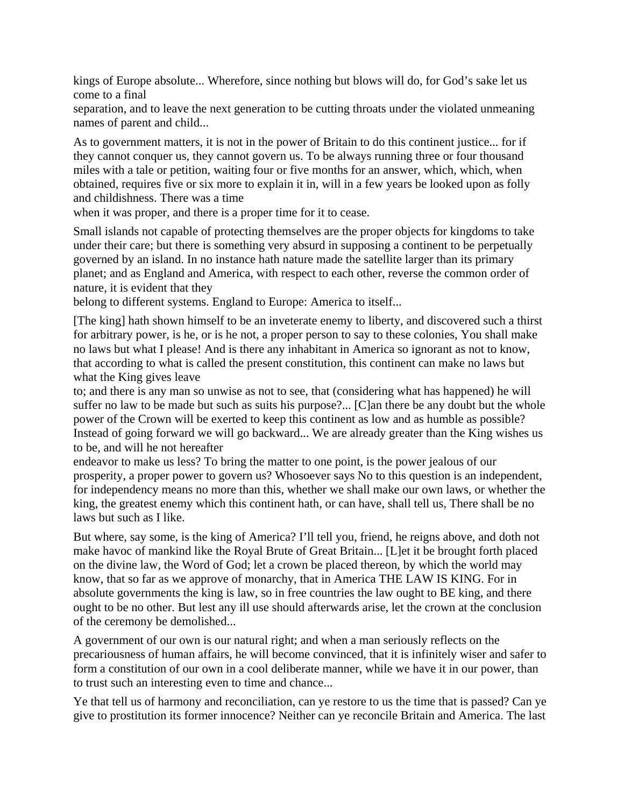kings of Europe absolute... Wherefore, since nothing but blows will do, for God's sake let us come to a final

separation, and to leave the next generation to be cutting throats under the violated unmeaning names of parent and child...

As to government matters, it is not in the power of Britain to do this continent justice... for if they cannot conquer us, they cannot govern us. To be always running three or four thousand miles with a tale or petition, waiting four or five months for an answer, which, which, when obtained, requires five or six more to explain it in, will in a few years be looked upon as folly and childishness. There was a time

when it was proper, and there is a proper time for it to cease.

Small islands not capable of protecting themselves are the proper objects for kingdoms to take under their care; but there is something very absurd in supposing a continent to be perpetually governed by an island. In no instance hath nature made the satellite larger than its primary planet; and as England and America, with respect to each other, reverse the common order of nature, it is evident that they

belong to different systems. England to Europe: America to itself...

[The king] hath shown himself to be an inveterate enemy to liberty, and discovered such a thirst for arbitrary power, is he, or is he not, a proper person to say to these colonies, You shall make no laws but what I please! And is there any inhabitant in America so ignorant as not to know, that according to what is called the present constitution, this continent can make no laws but what the King gives leave

to; and there is any man so unwise as not to see, that (considering what has happened) he will suffer no law to be made but such as suits his purpose?... [C]an there be any doubt but the whole power of the Crown will be exerted to keep this continent as low and as humble as possible? Instead of going forward we will go backward... We are already greater than the King wishes us to be, and will he not hereafter

endeavor to make us less? To bring the matter to one point, is the power jealous of our prosperity, a proper power to govern us? Whosoever says No to this question is an independent, for independency means no more than this, whether we shall make our own laws, or whether the king, the greatest enemy which this continent hath, or can have, shall tell us, There shall be no laws but such as I like.

But where, say some, is the king of America? I'll tell you, friend, he reigns above, and doth not make havoc of mankind like the Royal Brute of Great Britain... [L]et it be brought forth placed on the divine law, the Word of God; let a crown be placed thereon, by which the world may know, that so far as we approve of monarchy, that in America THE LAW IS KING. For in absolute governments the king is law, so in free countries the law ought to BE king, and there ought to be no other. But lest any ill use should afterwards arise, let the crown at the conclusion of the ceremony be demolished...

A government of our own is our natural right; and when a man seriously reflects on the precariousness of human affairs, he will become convinced, that it is infinitely wiser and safer to form a constitution of our own in a cool deliberate manner, while we have it in our power, than to trust such an interesting even to time and chance...

Ye that tell us of harmony and reconciliation, can ye restore to us the time that is passed? Can ye give to prostitution its former innocence? Neither can ye reconcile Britain and America. The last